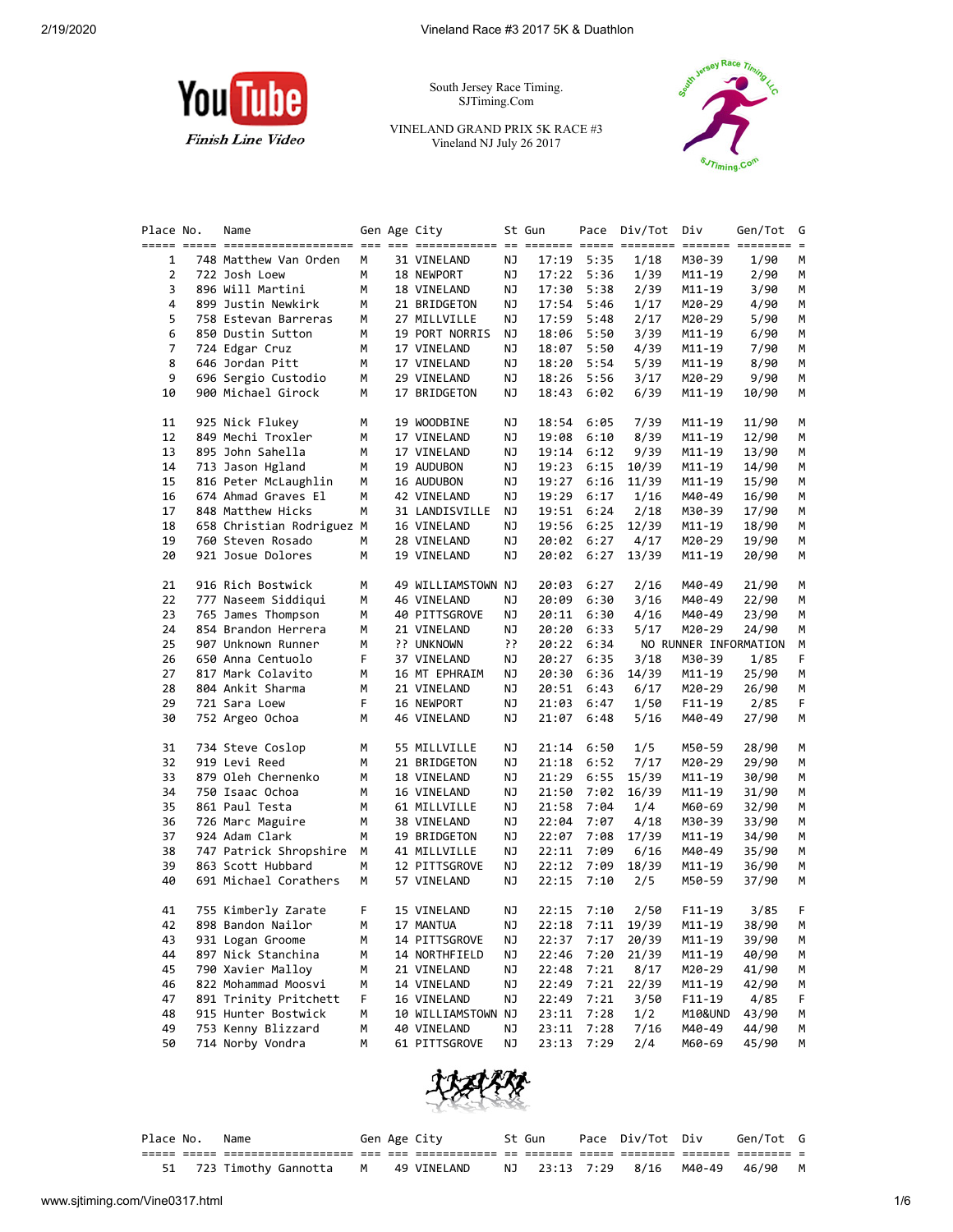

South Jersey Race Timing. SJTiming.Com

VINELAND GRAND PRIX 5K RACE #3 Vineland NJ July 26 2017



| Place No.      | Name                      |   | Gen Age City       |    | St Gun |            | Pace Div/Tot Div |          | Gen/Tot               | G      |
|----------------|---------------------------|---|--------------------|----|--------|------------|------------------|----------|-----------------------|--------|
| 1              | 748 Matthew Van Orden     | М | 31 VINELAND        | ΝJ | 17:19  | 5:35       | 1/18             | M30-39   | 1/90                  | М      |
| $\overline{2}$ | 722 Josh Loew             | м | 18 NEWPORT         | ΝJ | 17:22  | 5:36       | 1/39             | M11-19   | 2/90                  | М      |
| 3              | 896 Will Martini          | м | 18 VINELAND        | ΝJ | 17:30  | 5:38       | 2/39             | M11-19   | 3/90                  | М      |
| 4              | 899 Justin Newkirk        | М | 21 BRIDGETON       | ΝJ | 17:54  | 5:46       | 1/17             | M20-29   | 4/90                  | М      |
| 5              | 758 Estevan Barreras      | м | 27 MILLVILLE       | ΝJ | 17:59  | 5:48       | 2/17             | M20-29   | 5/90                  | м      |
| 6              | 850 Dustin Sutton         | м | 19 PORT NORRIS     | ΝJ | 18:06  | 5:50       | 3/39             | M11-19   | 6/90                  | м      |
| 7              | 724 Edgar Cruz            | М | 17 VINELAND        | ΝJ | 18:07  | 5:50       | 4/39             | M11-19   | 7/90                  | М      |
| 8              | 646 Jordan Pitt           | М | 17 VINELAND        | ΝJ | 18:20  | 5:54       | 5/39             | M11-19   | 8/90                  | М      |
| 9              | 696 Sergio Custodio       | м | 29 VINELAND        | ΝJ | 18:26  | 5:56       | 3/17             | M20-29   | 9/90                  | М      |
| 10             | 900 Michael Girock        | м | 17 BRIDGETON       | ΝJ | 18:43  | 6:02       | 6/39             | M11-19   | 10/90                 | М      |
| 11             | 925 Nick Flukey           | м | 19 WOODBINE        | ΝJ | 18:54  | 6:05       | 7/39             | M11-19   | 11/90                 | М      |
| 12             | 849 Mechi Troxler         | м | 17 VINELAND        | ΝJ | 19:08  | 6:10       | 8/39             | M11-19   | 12/90                 | М      |
| 13             | 895 John Sahella          | М | 17 VINELAND        | ΝJ | 19:14  | 6:12       | 9/39             | M11-19   | 13/90                 | М      |
| 14             | 713 Jason Hgland          | М | 19 AUDUBON         | ΝJ | 19:23  | 6:15       | 10/39            | M11-19   | 14/90                 | М      |
| 15             | 816 Peter McLaughlin      | М | 16 AUDUBON         | ΝJ | 19:27  | 6:16       | 11/39            | M11-19   | 15/90                 | М      |
| 16             | 674 Ahmad Graves El       | м | 42 VINELAND        | ΝJ | 19:29  | 6:17       | 1/16             | M40-49   | 16/90                 | М      |
| 17             | 848 Matthew Hicks         | м | 31 LANDISVILLE     | ΝJ | 19:51  | 6:24       | 2/18             | M30-39   | 17/90                 | М      |
| 18             | 658 Christian Rodriguez M |   | 16 VINELAND        | ΝJ | 19:56  | 6:25       | 12/39            | M11-19   | 18/90                 | М      |
| 19             | 760 Steven Rosado         | м | 28 VINELAND        | ΝJ | 20:02  | 6:27       | 4/17             | M20-29   | 19/90                 | М      |
| 20             | 921 Josue Dolores         | М | 19 VINELAND        | ΝJ | 20:02  | 6:27       | 13/39            | M11-19   | 20/90                 | М      |
| 21             | 916 Rich Bostwick         | м | 49 WILLIAMSTOWN NJ |    | 20:03  | 6:27       | 2/16             | M40-49   | 21/90                 | м      |
| 22             | 777 Naseem Siddiqui       | м | 46 VINELAND        | ΝJ | 20:09  | 6:30       | 3/16             | M40-49   | 22/90                 | м      |
| 23             | 765 James Thompson        | м | 40 PITTSGROVE      | ΝJ | 20:11  | 6:30       | 4/16             | M40-49   | 23/90                 | М      |
| 24             | 854 Brandon Herrera       | М | 21 VINELAND        | ΝJ | 20:20  | 6:33       | 5/17             | M20-29   | 24/90                 | М      |
| 25             | 907 Unknown Runner        | м | ?? UNKNOWN         | ?? | 20:22  | 6:34       |                  |          | NO RUNNER INFORMATION | М      |
| 26             | 650 Anna Centuolo         | F | 37 VINELAND        | ΝJ | 20:27  | 6:35       | 3/18             | M30-39   | 1/85                  | F      |
| 27             | 817 Mark Colavito         | м | 16 MT EPHRAIM      | ΝJ | 20:30  | 6:36       | 14/39            | M11-19   | 25/90                 | м      |
| 28             | 804 Ankit Sharma          | м | 21 VINELAND        | ΝJ | 20:51  | 6:43       | 6/17             | M20-29   | 26/90                 | м      |
| 29             | 721 Sara Loew             | F | 16 NEWPORT         | ΝJ | 21:03  | 6:47       | 1/50             | $F11-19$ | 2/85                  | F      |
| 30             | 752 Argeo Ochoa           | М | 46 VINELAND        | ΝJ | 21:07  | 6:48       | 5/16             | M40-49   | 27/90                 | М      |
| 31             | 734 Steve Coslop          | м | 55 MILLVILLE       | ΝJ | 21:14  | 6:50       | 1/5              | M50-59   | 28/90                 | М      |
| 32             | 919 Levi Reed             | М | 21 BRIDGETON       | ΝJ | 21:18  | 6:52       | 7/17             | M20-29   | 29/90                 | м      |
| 33             | 879 Oleh Chernenko        | м | 18 VINELAND        | ΝJ | 21:29  | 6:55       | 15/39            | M11-19   | 30/90                 | М      |
| 34             | 750 Isaac Ochoa           | м | 16 VINELAND        | ΝJ | 21:50  | 7:02       | 16/39            | M11-19   | 31/90                 | М      |
| 35             | 861 Paul Testa            | М | 61 MILLVILLE       | ΝJ | 21:58  | 7:04       | 1/4              | M60-69   | 32/90                 | М      |
| 36             | 726 Marc Maguire          | М | 38 VINELAND        | ΝJ | 22:04  | 7:07       | 4/18             | M30-39   | 33/90                 | М      |
| 37             | 924 Adam Clark            | М | 19 BRIDGETON       | ΝJ | 22:07  | 7:08       | 17/39            | M11-19   | 34/90                 | М      |
| 38             | 747 Patrick Shropshire    | М | 41 MILLVILLE       | ΝJ | 22:11  | 7:09       | 6/16             | M40-49   | 35/90                 | М      |
| 39             | 863 Scott Hubbard         | М | 12 PITTSGROVE      | ΝJ | 22:12  | 7:09       | 18/39            | M11-19   | 36/90                 | М      |
| 40             | 691 Michael Corathers     | М | 57 VINELAND        | ΝJ | 22:15  | 7:10       | 2/5              | M50-59   | 37/90                 | М      |
| 41             | 755 Kimberly Zarate       | F | 15 VINELAND        | NJ | 22:15  | 7:10       | 2/50             | F11-19   | 3/85                  | F      |
| 42             | 898 Bandon Nailor         | м | 17 MANTUA          | ΝJ | 22:18  | 7:11       | 19/39            | M11-19   | 38/90                 | M      |
| 43             | 931 Logan Groome          | м | 14 PITTSGROVE      | ΝJ | 22:37  | 7:17       | 20/39            | M11-19   | 39/90                 | м      |
| 44             | 897 Nick Stanchina        | м | 14 NORTHFIELD      | ΝJ | 22:46  | 7:20       | 21/39            | M11-19   | 40/90                 | M      |
| 45             | 790 Xavier Malloy         | м | 21 VINELAND        | ΝJ | 22:48  | 7:21       | 8/17             | M20-29   | 41/90                 |        |
| 46             | 822 Mohammad Moosvi       | м | 14 VINELAND        | ΝJ | 22:49  | 7:21       | 22/39            | M11-19   | 42/90                 |        |
| 47             | 891 Trinity Pritchett     | F | 16 VINELAND        | ΝJ | 22:49  | 7:21       | 3/50             | $F11-19$ | 4/85                  |        |
| 48             | 915 Hunter Bostwick       | м | 10 WILLIAMSTOWN NJ |    | 23:11  | 7:28       | 1/2              | M10&UND  | 43/90                 |        |
| 49             | 753 Kenny Blizzard        | м | 40 VINELAND        | ΝJ | 23:11  | 7:28       | 7/16             | M40-49   | 44/90                 | M<br>M |
| 50             | 714 Norby Vondra          | м | 61 PITTSGROVE      | ΝJ |        | 23:13 7:29 | 2/4              | M60-69   | 45/90                 | М      |



| Place No. | Name                                  |  | Gen Age City | St Gun |  | Pace Div/Tot Div Gen/Tot G        |  |
|-----------|---------------------------------------|--|--------------|--------|--|-----------------------------------|--|
|           |                                       |  |              |        |  |                                   |  |
|           | 51 723 Timothy Gannotta M 49 VINELAND |  |              |        |  | NJ 23:13 7:29 8/16 M40-49 46/90 M |  |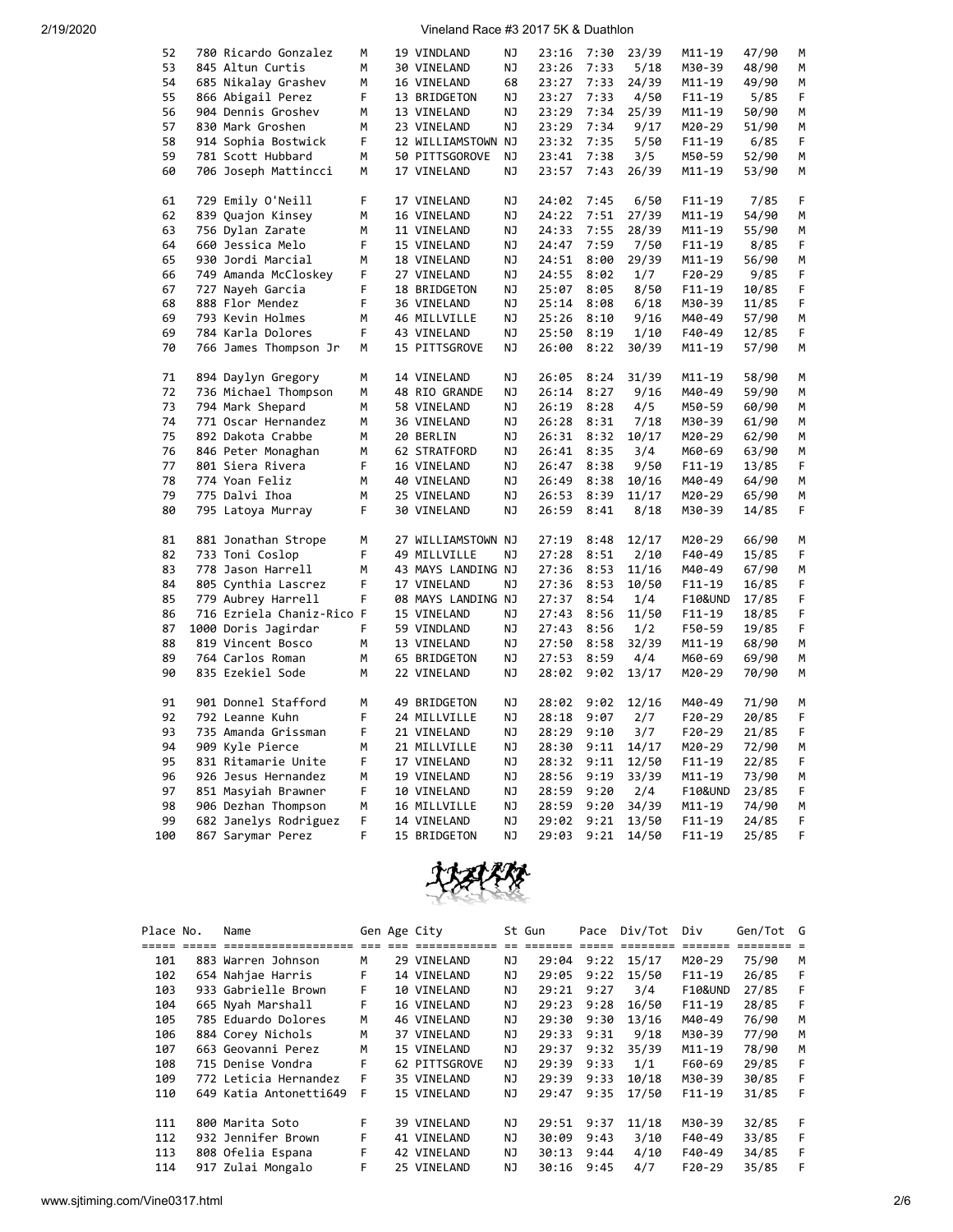## 2/19/2020 Vineland Race #3 2017 5K & Duathlon

| 52  | 780 Ricardo Gonzalez      | М | 19 VINDLAND        | ΝJ        | 23:16 | 7:30         | 23/39 | M11-19     | 47/90 | м |
|-----|---------------------------|---|--------------------|-----------|-------|--------------|-------|------------|-------|---|
| 53  | 845 Altun Curtis          | М | 30 VINELAND        | ΝJ        | 23:26 | 7:33         | 5/18  | M30-39     | 48/90 | М |
| 54  | 685 Nikalay Grashev       | M | 16 VINELAND        | 68        | 23:27 | 7:33         | 24/39 | M11-19     | 49/90 | M |
| 55  | 866 Abigail Perez         | F | 13 BRIDGETON       | ΝJ        | 23:27 | 7:33         | 4/50  | $F11 - 19$ | 5/85  | F |
|     |                           |   |                    |           |       |              |       |            |       |   |
| 56  | 904 Dennis Groshev        | М | 13 VINELAND        | ΝJ        | 23:29 | 7:34         | 25/39 | M11-19     | 50/90 | М |
| 57  | 830 Mark Groshen          | М | 23 VINELAND        | ΝJ        | 23:29 | 7:34         | 9/17  | M20-29     | 51/90 | M |
| 58  | 914 Sophia Bostwick       | F | 12 WILLIAMSTOWN NJ |           | 23:32 | 7:35         | 5/50  | $F11 - 19$ | 6/85  | F |
| 59  | 781 Scott Hubbard         | М | 50 PITTSGOROVE     | NJ        | 23:41 | 7:38         | 3/5   | M50-59     | 52/90 | M |
| 60  | 706 Joseph Mattincci      | М | 17 VINELAND        | ΝJ        | 23:57 | 7:43         | 26/39 | M11-19     | 53/90 | М |
| 61  | 729 Emily O'Neill         | F | 17 VINELAND        | ΝJ        | 24:02 | 7:45         | 6/50  | $F11 - 19$ | 7/85  | F |
| 62  | 839 Quajon Kinsey         | М | 16 VINELAND        | <b>NJ</b> | 24:22 | 7:51         | 27/39 | M11-19     | 54/90 | М |
| 63  | 756 Dylan Zarate          | M | 11 VINELAND        | ΝJ        | 24:33 | 7:55         | 28/39 | M11-19     | 55/90 | M |
| 64  | 660 Jessica Melo          | F | 15 VINELAND        | ΝJ        | 24:47 | 7:59         | 7/50  | $F11 - 19$ | 8/85  | F |
| 65  | 930 Jordi Marcial         | М | 18 VINELAND        | ΝJ        | 24:51 | 8:00         | 29/39 | M11-19     | 56/90 | м |
| 66  | 749 Amanda McCloskey      | F | 27 VINELAND        | ΝJ        | 24:55 | 8:02         | 1/7   | $F20-29$   | 9/85  | F |
| 67  | 727 Nayeh Garcia          | F | 18 BRIDGETON       | ΝJ        | 25:07 | 8:05         | 8/50  | $F11 - 19$ | 10/85 | F |
| 68  | 888 Flor Mendez           | F | 36 VINELAND        | ΝJ        | 25:14 | 8:08         | 6/18  | M30-39     | 11/85 | F |
| 69  | 793 Kevin Holmes          | М | 46 MILLVILLE       | ΝJ        | 25:26 | 8:10         | 9/16  | M40-49     | 57/90 | М |
| 69  | 784 Karla Dolores         | F | 43 VINELAND        | ΝJ        | 25:50 | 8:19         | 1/10  | F40-49     | 12/85 | F |
| 70  | 766 James Thompson Jr     | М | 15 PITTSGROVE      | ΝJ        | 26:00 | 8:22         | 30/39 | $M11 - 19$ | 57/90 | M |
|     |                           |   |                    |           |       |              |       |            |       |   |
| 71  | 894 Daylyn Gregory        | М | 14 VINELAND        | ΝJ        | 26:05 | 8:24         | 31/39 | M11-19     | 58/90 | М |
| 72  | 736 Michael Thompson      | М | 48 RIO GRANDE      | ΝJ        | 26:14 | 8:27         | 9/16  | M40-49     | 59/90 | м |
| 73  | 794 Mark Shepard          | М | 58 VINELAND        | ΝJ        | 26:19 | 8:28         | 4/5   | M50-59     | 60/90 | М |
| 74  | 771 Oscar Hernandez       | M | 36 VINELAND        | ΝJ        | 26:28 | 8:31         | 7/18  | M30-39     | 61/90 | M |
| 75  | 892 Dakota Crabbe         | М | 20 BERLIN          | ΝJ        | 26:31 | 8:32         | 10/17 | M20-29     | 62/90 | М |
| 76  | 846 Peter Monaghan        | м | 62 STRATFORD       | ΝJ        | 26:41 | 8:35         | 3/4   | M60-69     | 63/90 | М |
| 77  | 801 Siera Rivera          | F | 16 VINELAND        | NJ        | 26:47 | 8:38         | 9/50  | $F11 - 19$ | 13/85 | F |
| 78  | 774 Yoan Feliz            | М | 40 VINELAND        | ΝJ        | 26:49 | 8:38         | 10/16 | M40-49     | 64/90 | М |
| 79  | 775 Dalvi Ihoa            | М | 25 VINELAND        | ΝJ        | 26:53 | 8:39         | 11/17 | M20-29     | 65/90 | M |
| 80  | 795 Latoya Murray         | F | 30 VINELAND        | ΝJ        | 26:59 | 8:41         | 8/18  | M30-39     | 14/85 | F |
|     |                           |   |                    |           |       |              |       |            |       |   |
| 81  | 881 Jonathan Strope       | М | 27 WILLIAMSTOWN NJ |           | 27:19 | 8:48         | 12/17 | M20-29     | 66/90 | М |
| 82  | 733 Toni Coslop           | F | 49 MILLVILLE       | NJ        | 27:28 | 8:51         | 2/10  | F40-49     | 15/85 | F |
| 83  | 778 Jason Harrell         | М | 43 MAYS LANDING NJ |           | 27:36 | 8:53         | 11/16 | M40-49     | 67/90 | M |
| 84  | 805 Cynthia Lascrez       | F | 17 VINELAND        | ΝJ        | 27:36 | 8:53         | 10/50 | F11-19     | 16/85 | F |
| 85  | 779 Aubrey Harrell        | F | 08 MAYS LANDING NJ |           | 27:37 | 8:54         | 1/4   | F10&UND    | 17/85 | F |
| 86  | 716 Ezriela Chaniz-Rico F |   | 15 VINELAND        | ΝJ        | 27:43 | 8:56         | 11/50 | $F11 - 19$ | 18/85 | F |
| 87  | 1000 Doris Jagirdar       | F | 59 VINDLAND        | ΝJ        | 27:43 | 8:56         | 1/2   | F50-59     | 19/85 | F |
| 88  | 819 Vincent Bosco         | м | 13 VINELAND        | ΝJ        | 27:50 | 8:58         | 32/39 | M11-19     | 68/90 | М |
| 89  | 764 Carlos Roman          | М | 65 BRIDGETON       | ΝJ        | 27:53 | 8:59         | 4/4   | M60-69     | 69/90 | М |
| 90  | 835 Ezekiel Sode          | М | 22 VINELAND        | ΝJ        | 28:02 | 9:02         | 13/17 | M20-29     | 70/90 | M |
| 91  | 901 Donnel Stafford       | м | 49 BRIDGETON       | ΝJ        | 28:02 | 9:02         | 12/16 | M40-49     | 71/90 | М |
| 92  | 792 Leanne Kuhn           | F | 24 MILLVILLE       | ΝJ        | 28:18 | 9:07         | 2/7   | $F20-29$   | 20/85 | F |
| 93  |                           | F |                    |           |       |              |       |            |       |   |
| 94  | 735 Amanda Grissman       | М | 21 VINELAND        | ΝJ<br>NJ  | 28:29 | 9:10<br>9:11 | 3/7   | $F20-29$   | 21/85 | F |
| 95  | 909 Kyle Pierce           |   | 21 MILLVILLE       |           | 28:30 |              | 14/17 | M20-29     | 72/90 | М |
|     | 831 Ritamarie Unite       | F | 17 VINELAND        | ΝJ        | 28:32 | 9:11         | 12/50 | F11-19     | 22/85 | F |
| 96  | 926 Jesus Hernandez       | м | 19 VINELAND        | ΝJ        | 28:56 | 9:19         | 33/39 | M11-19     | 73/90 | м |
| 97  | 851 Masyiah Brawner       | F | 10 VINELAND        | ΝJ        | 28:59 | 9:20         | 2/4   | F10&UND    | 23/85 | F |
| 98  | 906 Dezhan Thompson       | М | 16 MILLVILLE       | NJ        | 28:59 | 9:20         | 34/39 | M11-19     | 74/90 | М |
| 99  | 682 Janelys Rodriguez     | F | 14 VINELAND        | NJ        | 29:02 | 9:21         | 13/50 | $F11 - 19$ | 24/85 | F |
| 100 | 867 Sarymar Perez         | F | 15 BRIDGETON       | ΝJ        | 29:03 | 9:21         | 14/50 | F11-19     | 25/85 | F |



| Place No. | Name                   |    | Gen Age City     |     | St Gun | Pace   | Div/Tot   | Div                | Gen/Tot G |    |
|-----------|------------------------|----|------------------|-----|--------|--------|-----------|--------------------|-----------|----|
| ------    | ====================   |    | --- ------------ |     | -----  | ------ | --------- | --------           |           |    |
| 101       | 883 Warren Johnson     | M  | 29 VINELAND      | NJ  | 29:04  | 9:22   | 15/17     | M20-29             | 75/90     | M  |
| 102       | 654 Nahjae Harris      | F  | 14 VINELAND      | NJ  | 29:05  | 9:22   | 15/50     | $F11-19$           | 26/85     | F  |
| 103       | 933 Gabrielle Brown    | F. | 10 VINELAND      | NJ  | 29:21  | 9:27   | 3/4       | <b>F10&amp;UND</b> | 27/85     | -F |
| 104       | 665 Nyah Marshall      | F  | 16 VINELAND      | ΝJ  | 29:23  | 9:28   | 16/50     | $F11-19$           | 28/85     | F  |
| 105       | 785 Eduardo Dolores    | M  | 46 VINELAND      | NJ  | 29:30  | 9:30   | 13/16     | M40-49             | 76/90     | M  |
| 106       | 884 Corey Nichols      | M  | 37 VINELAND      | NJ  | 29:33  | 9:31   | 9/18      | M30-39             | 77/90     | M  |
| 107       | 663 Geovanni Perez     | M  | 15 VINELAND      | NJ  | 29:37  | 9:32   | 35/39     | $M11 - 19$         | 78/90     | м  |
| 108       | 715 Denise Vondra      | F  | 62 PITTSGROVE    | NJ  | 29:39  | 9:33   | 1/1       | F60-69             | 29/85     | F  |
| 109       | 772 Leticia Hernandez  | F  | 35 VINELAND      | NJ. | 29:39  | 9:33   | 10/18     | M30-39             | 30/85     | -F |
| 110       | 649 Katia Antonetti649 | F  | 15 VINELAND      | NJ  | 29:47  | 9:35   | 17/50     | $F11-19$           | 31/85     | -F |
|           |                        |    |                  |     |        |        |           |                    |           |    |
| 111       | 800 Marita Soto        | F. | 39 VINELAND      | ΝJ  | 29:51  | 9:37   | 11/18     | M30-39             | 32/85     | -F |
| 112       | 932 Jennifer Brown     | F  | 41 VINELAND      | NJ  | 30:09  | 9:43   | 3/10      | F40-49             | 33/85     | F  |
| 113       | 808 Ofelia Espana      | F  | 42 VINELAND      | NJ  | 30:13  | 9:44   | 4/10      | $F40-49$           | 34/85     | F  |
| 114       | 917 Zulai Mongalo      | F  | 25 VINELAND      | NJ  | 30:16  | 9:45   | 4/7       | $F20-29$           | 35/85     | F  |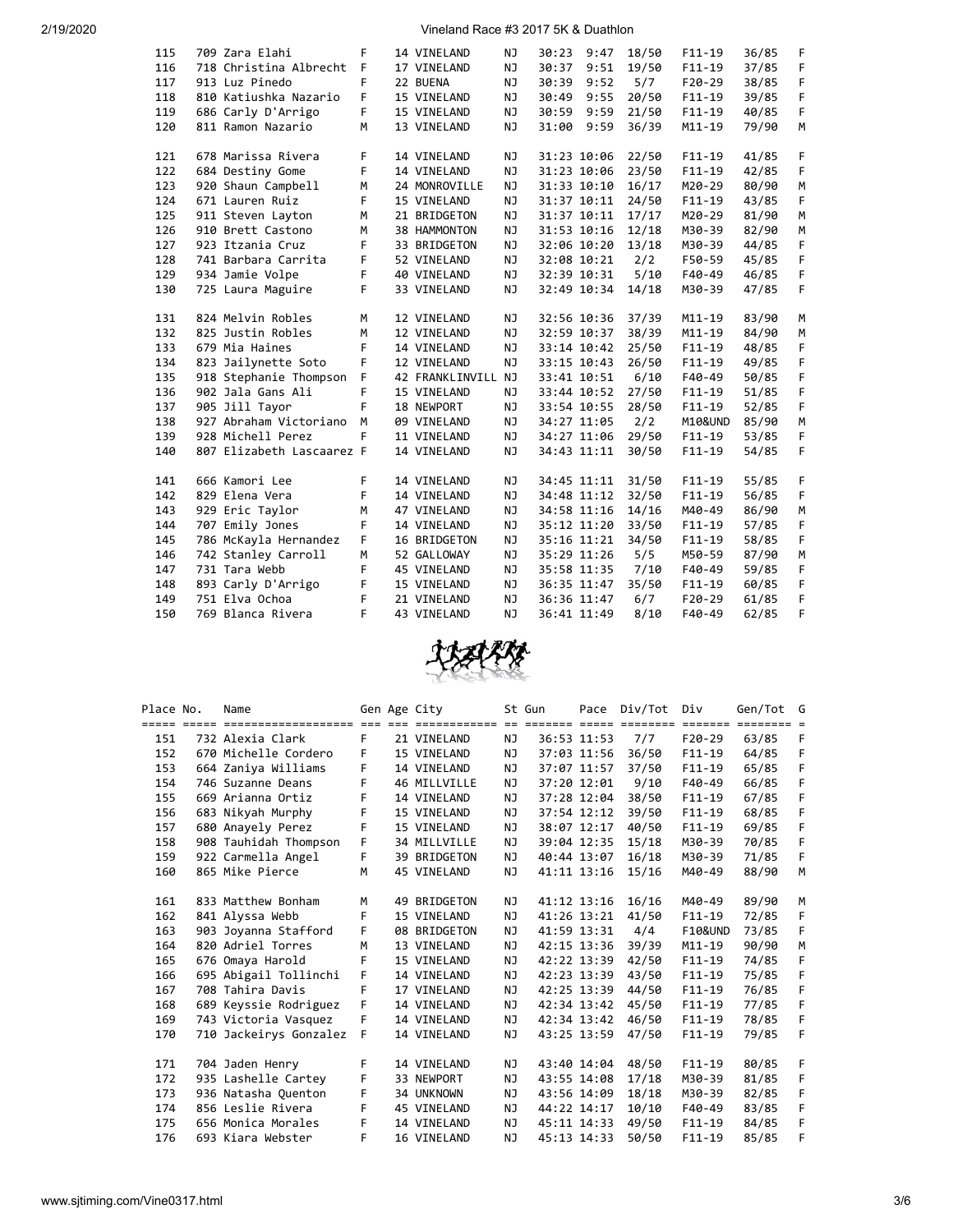2/19/2020 Vineland Race #3 2017 5K & Duathlon

| 115 | 709 Zara Elahi            | F           | 14 VINELAND        | ΝJ        | 30:23 | 9:47        | 18/50 | $F11 - 19$ | 36/85 | F |
|-----|---------------------------|-------------|--------------------|-----------|-------|-------------|-------|------------|-------|---|
| 116 | 718 Christina Albrecht    | F           | 17 VINELAND        | <b>NJ</b> | 30:37 | 9:51        | 19/50 | $F11-19$   | 37/85 | F |
| 117 | 913 Luz Pinedo            | F           | 22 BUENA           | NJ.       | 30:39 | 9:52        | 5/7   | $F20-29$   | 38/85 | F |
| 118 | 810 Katiushka Nazario     | F.          | 15 VINELAND        | NJ        | 30:49 | 9:55        | 20/50 | $F11 - 19$ | 39/85 | F |
| 119 | 686 Carly D'Arrigo        | F           | 15 VINELAND        | NJ        | 30:59 | 9:59        | 21/50 | $F11 - 19$ | 40/85 | F |
| 120 | 811 Ramon Nazario         | М           | 13 VINELAND        | NJ        | 31:00 | 9:59        | 36/39 | $M11 - 19$ | 79/90 | M |
|     |                           |             |                    |           |       |             |       |            |       |   |
| 121 | 678 Marissa Rivera        | F           | 14 VINELAND        | NJ        |       | 31:23 10:06 | 22/50 | $F11 - 19$ | 41/85 | F |
| 122 | 684 Destiny Gome          | F           | 14 VINELAND        | NJ        |       | 31:23 10:06 | 23/50 | $F11 - 19$ | 42/85 | F |
| 123 | 920 Shaun Campbell        | M           | 24 MONROVILLE      | NJ        |       | 31:33 10:10 | 16/17 | M20-29     | 80/90 | M |
| 124 | 671 Lauren Ruiz           | F           | 15 VINELAND        | NJ        |       | 31:37 10:11 | 24/50 | $F11 - 19$ | 43/85 | F |
| 125 | 911 Steven Layton         | M           | 21 BRIDGETON       | NJ        |       | 31:37 10:11 | 17/17 | M20-29     | 81/90 | M |
| 126 | 910 Brett Castono         | M           | 38 HAMMONTON       | NJ        |       | 31:53 10:16 | 12/18 | M30-39     | 82/90 | M |
| 127 | 923 Itzania Cruz          | F           | 33 BRIDGETON       | NJ        |       | 32:06 10:20 | 13/18 | M30-39     | 44/85 | F |
| 128 | 741 Barbara Carrita       | F           | 52 VINELAND        | NJ        |       | 32:08 10:21 | 2/2   | F50-59     | 45/85 | F |
| 129 | 934 Jamie Volpe           | F           | 40 VINELAND        | NJ        |       | 32:39 10:31 | 5/10  | $F40-49$   | 46/85 | F |
| 130 | 725 Laura Maguire         | F           | 33 VINELAND        | NJ        |       | 32:49 10:34 | 14/18 | M30-39     | 47/85 | F |
|     |                           |             |                    |           |       |             |       |            |       |   |
| 131 | 824 Melvin Robles         | M           | 12 VINELAND        | NJ        |       | 32:56 10:36 | 37/39 | $M11 - 19$ | 83/90 | М |
| 132 | 825 Justin Robles         | M           | 12 VINELAND        | <b>NJ</b> |       | 32:59 10:37 | 38/39 | $M11 - 19$ | 84/90 | M |
| 133 | 679 Mia Haines            | F           | 14 VINELAND        | NJ        |       | 33:14 10:42 | 25/50 | $F11 - 19$ | 48/85 | F |
| 134 | 823 Jailynette Soto       | F           | 12 VINELAND        | NJ        |       | 33:15 10:43 | 26/50 | $F11 - 19$ | 49/85 | F |
| 135 | 918 Stephanie Thompson    | $\mathsf F$ | 42 FRANKLINVILL NJ |           |       | 33:41 10:51 | 6/10  | $F40-49$   | 50/85 | F |
| 136 | 902 Jala Gans Ali         | F           | 15 VINELAND        | NJ        |       | 33:44 10:52 | 27/50 | $F11 - 19$ | 51/85 | F |
| 137 | 905 Jill Tayor            | F           | 18 NEWPORT         | <b>NJ</b> |       | 33:54 10:55 | 28/50 | $F11 - 19$ | 52/85 | F |
| 138 | 927 Abraham Victoriano    | M           | 09 VINELAND        | <b>NJ</b> |       | 34:27 11:05 | 2/2   | M10&UND    | 85/90 | M |
| 139 | 928 Michell Perez         | F           | 11 VINELAND        | <b>NJ</b> |       | 34:27 11:06 | 29/50 | $F11 - 19$ | 53/85 | F |
| 140 | 807 Elizabeth Lascaarez F |             | 14 VINELAND        | <b>NJ</b> |       | 34:43 11:11 | 30/50 | $F11 - 19$ | 54/85 | F |
|     |                           |             |                    |           |       |             |       |            |       |   |
| 141 | 666 Kamori Lee            | F           | 14 VINELAND        | NJ        |       | 34:45 11:11 | 31/50 | $F11 - 19$ | 55/85 | F |
| 142 | 829 Elena Vera            | F           | 14 VINELAND        | NJ        |       | 34:48 11:12 | 32/50 | $F11 - 19$ | 56/85 | F |
| 143 | 929 Eric Taylor           | M           | 47 VINELAND        | NJ        |       | 34:58 11:16 | 14/16 | M40-49     | 86/90 | M |
| 144 | 707 Emily Jones           | F           | 14 VINELAND        | NJ        |       | 35:12 11:20 | 33/50 | $F11 - 19$ | 57/85 | F |
| 145 | 786 McKayla Hernandez     | F.          | 16 BRIDGETON       | NJ        |       | 35:16 11:21 | 34/50 | $F11 - 19$ | 58/85 | F |
| 146 | 742 Stanley Carroll       | M           | 52 GALLOWAY        | NJ        |       | 35:29 11:26 | 5/5   | M50-59     | 87/90 | M |
| 147 | 731 Tara Webb             | F           | 45 VINELAND        | NJ        |       | 35:58 11:35 | 7/10  | F40-49     | 59/85 | F |
| 148 | 893 Carly D'Arrigo        | F           | 15 VINELAND        | NJ        |       | 36:35 11:47 | 35/50 | $F11 - 19$ | 60/85 | F |
| 149 | 751 Elva Ochoa            | F           | 21 VINELAND        | NJ        |       | 36:36 11:47 | 6/7   | $F20-29$   | 61/85 | F |
| 150 | 769 Blanca Rivera         | F           | 43 VINELAND        | NJ        |       | 36:41 11:49 | 8/10  | $F40-49$   | 62/85 | F |
|     |                           |             |                    |           |       |             |       |            |       |   |



| Place No. | Name                                 |    | Gen Age City |           | St Gun |             | Pace Div/Tot Div |                    | Gen/Tot G         |    |
|-----------|--------------------------------------|----|--------------|-----------|--------|-------------|------------------|--------------------|-------------------|----|
|           | <u> ----------------------------</u> |    |              |           |        |             |                  |                    | eccess seconder e |    |
| 151       | 732 Alexia Clark                     | F. | 21 VINELAND  | NJ        |        | 36:53 11:53 | 7/7              | $F20-29$           | 63/85             | F  |
| 152       | 670 Michelle Cordero                 | F  | 15 VINELAND  | NJ        |        | 37:03 11:56 | 36/50            | $F11-19$           | 64/85             | F  |
| 153       | 664 Zaniya Williams                  | F  | 14 VINELAND  | NJ        |        | 37:07 11:57 | 37/50            | $F11-19$           | 65/85             | F  |
| 154       | 746 Suzanne Deans                    | F  | 46 MILLVILLE | NJ        |        | 37:20 12:01 | 9/10             | F40-49             | 66/85             | F  |
| 155       | 669 Arianna Ortiz                    | F  | 14 VINELAND  | NJ        |        | 37:28 12:04 | 38/50            | $F11-19$           | 67/85             | F  |
| 156       | 683 Nikyah Murphy                    | F  | 15 VINELAND  | NJ        |        | 37:54 12:12 | 39/50            | $F11 - 19$         | 68/85             | F  |
| 157       | 680 Anayely Perez                    | F  | 15 VINELAND  | NJ        |        | 38:07 12:17 | 40/50            | $F11-19$           | 69/85             | F  |
| 158       | 908 Tauhidah Thompson                | F  | 34 MILLVILLE | NJ        |        | 39:04 12:35 | 15/18            | M30-39             | 70/85             | F  |
| 159       | 922 Carmella Angel                   | F  | 39 BRIDGETON | NJ        |        | 40:44 13:07 | 16/18            | M30-39             | 71/85             | F  |
| 160       | 865 Mike Pierce                      | М  | 45 VINELAND  | <b>NJ</b> |        | 41:11 13:16 | 15/16            | M40-49             | 88/90             | M  |
|           |                                      |    |              |           |        |             |                  |                    |                   |    |
| 161       | 833 Matthew Bonham                   | М  | 49 BRIDGETON | NJ        |        | 41:12 13:16 | 16/16            | M40-49             | 89/90             | M  |
| 162       | 841 Alyssa Webb                      | F  | 15 VINELAND  | NJ        |        | 41:26 13:21 | 41/50            | $F11-19$           | 72/85             | F  |
| 163       | 903 Joyanna Stafford                 | F  | 08 BRIDGETON | NJ.       |        | 41:59 13:31 | 4/4              | <b>F10&amp;UND</b> | 73/85             | F. |
| 164       | 820 Adriel Torres                    | M  | 13 VINELAND  | NJ        |        | 42:15 13:36 | 39/39            | $M11 - 19$         | 90/90             | M  |
| 165       | 676 Omaya Harold                     | F  | 15 VINELAND  | NJ        |        | 42:22 13:39 | 42/50            | $F11-19$           | 74/85             | F  |
| 166       | 695 Abigail Tollinchi                | F  | 14 VINELAND  | NJ        |        | 42:23 13:39 | 43/50            | $F11-19$           | 75/85             | F  |
| 167       | 708 Tahira Davis                     | F  | 17 VINELAND  | NJ        |        | 42:25 13:39 | 44/50            | $F11 - 19$         | 76/85             | F  |
| 168       | 689 Keyssie Rodriguez                | F  | 14 VINELAND  | NJ        |        | 42:34 13:42 | 45/50            | $F11 - 19$         | 77/85             | F  |
| 169       | 743 Victoria Vasquez                 | F  | 14 VINELAND  | NJ        |        | 42:34 13:42 | 46/50            | $F11-19$           | 78/85             | F  |
| 170       | 710 Jackeirys Gonzalez F             |    | 14 VINELAND  | NJ        |        | 43:25 13:59 | 47/50            | $F11-19$           | 79/85             | F  |
|           |                                      |    |              |           |        |             |                  |                    |                   |    |
| 171       | 704 Jaden Henry                      | F  | 14 VINELAND  | NJ.       |        | 43:40 14:04 | 48/50            | $F11 - 19$         | 80/85             | F. |
| 172       | 935 Lashelle Cartey                  | F  | 33 NEWPORT   | NJ        |        | 43:55 14:08 | 17/18            | M30-39             | 81/85             | F  |
| 173       | 936 Natasha Quenton                  | F  | 34 UNKNOWN   | NJ        |        | 43:56 14:09 | 18/18            | M30-39             | 82/85             | F  |
| 174       | 856 Leslie Rivera                    | F  | 45 VINELAND  | NJ        |        | 44:22 14:17 | 10/10            | F40-49             | 83/85             | F  |
| 175       | 656 Monica Morales                   | F  | 14 VINELAND  | NJ.       |        | 45:11 14:33 | 49/50            | $F11-19$           | 84/85             | F  |
| 176       | 693 Kiara Webster                    | F  | 16 VINELAND  | NJ        |        | 45:13 14:33 | 50/50            | $F11-19$           | 85/85             | F  |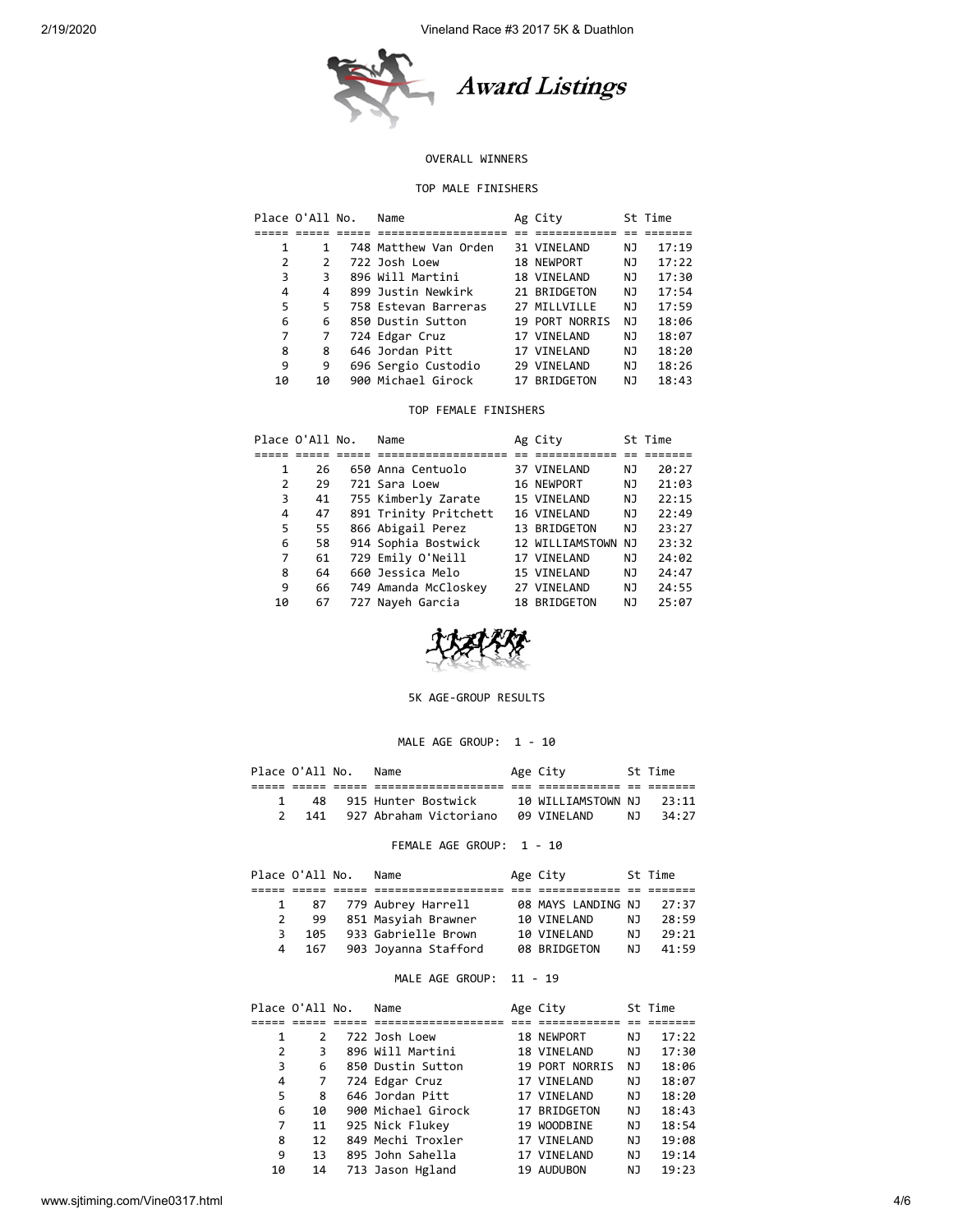

## OVERALL WINNERS

## TOP MALE FINISHERS

| Place O'All No. |               | Name                  | Ag City        |    | St Time |
|-----------------|---------------|-----------------------|----------------|----|---------|
|                 |               |                       |                |    |         |
| 1               | 1             | 748 Matthew Van Orden | 31 VINELAND    | ΝJ | 17:19   |
| 2               | $\mathcal{P}$ | 722 Josh Loew         | 18 NEWPORT     | ΝJ | 17:22   |
| 3               | 3             | 896 Will Martini      | 18 VINELAND    | NJ | 17:30   |
| 4               | 4             | 899 Justin Newkirk    | 21 BRIDGETON   | NJ | 17:54   |
| 5               | 5             | 758 Estevan Barreras  | 27 MILLVILLE   | NJ | 17:59   |
| 6               | 6             | 850 Dustin Sutton     | 19 PORT NORRIS | NJ | 18:06   |
| 7               | 7             | 724 Edgar Cruz        | 17 VINELAND    | NJ | 18:07   |
| 8               | 8             | 646 Jordan Pitt       | 17 VINELAND    | ΝJ | 18:20   |
| 9               | 9             | 696 Sergio Custodio   | 29 VINELAND    | NJ | 18:26   |
| 10              | 10            | 900 Michael Girock    | 17 BRIDGETON   | ΝJ | 18:43   |
|                 |               |                       |                |    |         |

#### TOP FEMALE FINISHERS

|    | Place O'All No. | Name                  | Ag City            |    | St Time |
|----|-----------------|-----------------------|--------------------|----|---------|
|    |                 |                       |                    |    |         |
| 1  | 26              | 650 Anna Centuolo     | 37 VINELAND        | ΝJ | 20:27   |
| 2  | 29              | 721 Sara Loew         | 16 NEWPORT         | ΝJ | 21:03   |
| 3  | 41              | 755 Kimberly Zarate   | 15 VINELAND        | NJ | 22:15   |
| 4  | 47              | 891 Trinity Pritchett | 16 VINELAND        | NJ | 22:49   |
| 5  | 55              | 866 Abigail Perez     | 13 BRIDGETON       | NJ | 23:27   |
| 6  | 58              | 914 Sophia Bostwick   | 12 WILLIAMSTOWN NJ |    | 23:32   |
| 7  | 61              | 729 Emily O'Neill     | 17 VINELAND        | NJ | 24:02   |
| 8  | 64              | 660 Jessica Melo      | 15 VINELAND        | NJ | 24:47   |
| 9  | 66              | 749 Amanda McCloskey  | 27 VINELAND        | NJ | 24:55   |
| 10 | 67              | 727 Nayeh Garcia      | 18 BRIDGETON       | ΝJ | 25:07   |



#### 5K AGE-GROUP RESULTS

# MALE AGE GROUP: 1 - 10

|  | Place O'All No. | Name                   | Age City           |     | St Time |  |
|--|-----------------|------------------------|--------------------|-----|---------|--|
|  |                 |                        |                    |     |         |  |
|  | 48              | 915 Hunter Bostwick    | 10 WILLIAMSTOWN NJ |     | - 23:11 |  |
|  | 141             | 927 Abraham Victoriano | 09 VINELAND        | N T | 34:27   |  |
|  |                 |                        |                    |     |         |  |

## FEMALE AGE GROUP: 1 - 10

|    | Place O'All No. | Name                    | Age City           |     | St Time |
|----|-----------------|-------------------------|--------------------|-----|---------|
|    |                 |                         |                    |     |         |
| 1  |                 | 87   779 Aubrey Harrell | 08 MAYS LANDING NJ |     | 27:37   |
| 2  | -99             | 851 Masyiah Brawner     | 10 VINELAND        | NJ. | 28:59   |
| 3. | 105             | 933 Gabrielle Brown     | 10 VINELAND        | N J | 29:21   |
| 4  | 167             | 903 Joyanna Stafford    | 08 BRIDGETON       | N T | 41:59   |

#### MALE AGE GROUP: 11 - 19

|    | Place O'All No. | Name               | Age City       |    | St Time |
|----|-----------------|--------------------|----------------|----|---------|
|    |                 |                    |                |    |         |
| 1  | $\mathcal{P}$   | 722 Josh Loew      | 18 NEWPORT     | ΝJ | 17:22   |
| 2  | З               | 896 Will Martini   | 18 VINELAND    | ΝJ | 17:30   |
| 3  | 6               | 850 Dustin Sutton  | 19 PORT NORRIS | ΝJ | 18:06   |
| 4  | 7               | 724 Edgar Cruz     | 17 VINELAND    | ΝJ | 18:07   |
| 5  | 8               | 646 Jordan Pitt    | 17 VINELAND    | ΝJ | 18:20   |
| 6  | 10              | 900 Michael Girock | 17 BRIDGETON   | NJ | 18:43   |
| 7  | 11              | 925 Nick Flukey    | 19 WOODBINE    | ΝJ | 18:54   |
| 8  | 12              | 849 Mechi Troxler  | 17 VINELAND    | ΝJ | 19:08   |
| 9  | 13              | 895 John Sahella   | 17 VINELAND    | ΝJ | 19:14   |
| 10 | 14              | 713 Jason Hgland   | 19 AUDUBON     | ΝJ | 19:23   |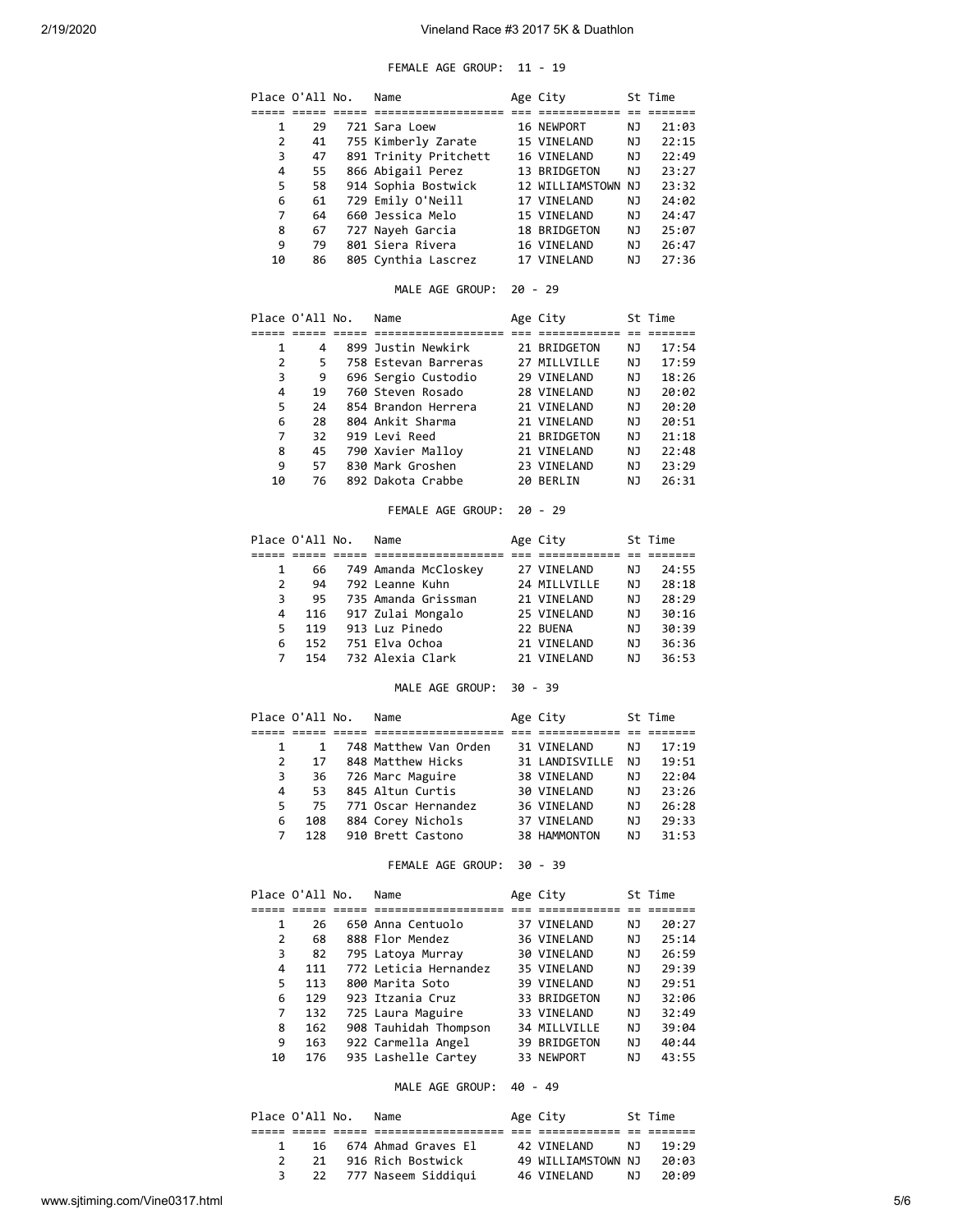# FEMALE AGE GROUP: 11 - 19

|                | Place O'All No. | Name                                     |           | Age City                    |          | St Time |
|----------------|-----------------|------------------------------------------|-----------|-----------------------------|----------|---------|
|                |                 |                                          |           |                             |          |         |
| 1              | 29              | 721 Sara Loew                            |           | 16 NEWPORT                  | ΝJ       | 21:03   |
| 2              | 41              | 755 Kimberly Zarate                      |           | 15 VINELAND                 | ΝJ       | 22:15   |
| 3              | 47              | 891 Trinity Pritchett                    |           | 16 VINELAND                 | ΝJ       | 22:49   |
| 4              | 55              | 866 Abigail Perez                        |           | 13 BRIDGETON                | ΝJ       | 23:27   |
| 5              | 58              | 914 Sophia Bostwick                      |           | 12 WILLIAMSTOWN NJ          |          | 23:32   |
| 6              | 61              | 729 Emily O'Neill                        |           | 17 VINELAND                 | ΝJ       | 24:02   |
| 7              | 64              | 660 Jessica Melo                         |           | 15 VINELAND                 | ΝJ       | 24:47   |
| 8              | 67              | 727 Nayeh Garcia                         |           | 18 BRIDGETON                | ΝJ       | 25:07   |
| 9              | 79              | 801 Siera Rivera                         |           | 16 VINELAND                 | ΝJ       | 26:47   |
| 10             | 86              | 805 Cynthia Lascrez                      |           | 17 VINELAND                 | ΝJ       | 27:36   |
|                |                 | MALE AGE GROUP:                          | $20 - 29$ |                             |          |         |
|                | Place O'All No. | Name                                     |           | Age City                    |          | St Time |
| 1              | 4               | 899 Justin Newkirk                       |           | 21 BRIDGETON                | ΝJ       | 17:54   |
| $\overline{2}$ | 5.              | 758 Estevan Barreras                     |           | 27 MILLVILLE                | ΝJ       |         |
|                |                 |                                          |           |                             |          | 17:59   |
| 3<br>4         | 9               | 696 Sergio Custodio                      |           | 29 VINELAND                 | ΝJ       | 18:26   |
|                | 19<br>24        | 760 Steven Rosado<br>854 Brandon Herrera |           | 28 VINELAND                 | ΝJ       | 20:02   |
| 5              |                 |                                          |           | 21 VINELAND                 | ΝJ       | 20:20   |
| 6              | 28              | 804 Ankit Sharma                         |           | 21 VINELAND                 | ΝJ       | 20:51   |
| 7              | 32              | 919 Levi Reed                            |           | 21 BRIDGETON                | ΝJ       | 21:18   |
| 8              | 45              | 790 Xavier Malloy                        |           | 21 VINELAND                 | ΝJ       | 22:48   |
| 9              | 57<br>76        | 830 Mark Groshen<br>892 Dakota Crabbe    |           | 23 VINELAND<br>20 BERLIN    | NJ<br>ΝJ | 23:29   |
| 10             |                 |                                          |           |                             |          | 26:31   |
|                |                 | FEMALE AGE GROUP:                        |           | $20 - 29$                   |          |         |
|                | Place O'All No. | Name                                     |           | Age City                    |          | St Time |
|                |                 |                                          |           |                             |          |         |
| 1              | 66              | 749 Amanda McCloskey                     |           | 27 VINELAND                 | ΝJ       | 24:55   |
| $\overline{2}$ | 94              | 792 Leanne Kuhn                          |           | 24 MILLVILLE                | ΝJ       | 28:18   |
| 3              | 95              | 735 Amanda Grissman                      |           | 21 VINELAND                 | ΝJ       | 28:29   |
| 4              | 116             | 917 Zulai Mongalo                        |           | 25 VINELAND                 | ΝJ       | 30:16   |
| 5              | 119             | 913 Luz Pinedo                           |           | 22 BUENA                    | ΝJ       | 30:39   |
| 6              | 152             | 751 Elva Ochoa                           |           | 21 VINELAND                 | NJ       | 36:36   |
| 7              | 154             | 732 Alexia Clark                         |           | 21 VINELAND                 | ΝJ       | 36:53   |
|                |                 | MALE AGE GROUP:                          | $30 - 39$ |                             |          |         |
|                | Place O'All No. | Name                                     |           | Age City                    |          | St Time |
| 1              | 1               | 748 Matthew Van Orden                    |           | 31 VINELAND                 | ΝJ       | 17:19   |
| 2              | 17              | 848 Matthew Hicks                        |           | 31 LANDISVILLE              | NJ       | 19:51   |
| 3              | 36              | 726 Marc Maguire                         |           | 38 VINELAND                 | ΝJ       | 22:04   |
| 4              | 53              | 845 Altun Curtis                         |           | 30 VINELAND                 | NJ       | 23:26   |
| 5              | 75              | 771 Oscar Hernandez                      |           | 36 VINELAND                 | ΝJ       | 26:28   |
| 6              | 108             | 884 Corey Nichols                        |           | 37 VINELAND                 | ΝJ       | 29:33   |
| 7              | 128             | 910 Brett Castono                        |           | 38 HAMMONTON                | ΝJ       | 31:53   |
|                |                 | FEMALE AGE GROUP: 30 - 39                |           |                             |          |         |
|                | Place O'All No. | Name                                     |           | Age City                    |          | St Time |
|                |                 |                                          |           |                             |          |         |
| 1              | 26              | 650 Anna Centuolo                        |           | 37 VINELAND                 | ΝJ       | 20:27   |
| 2              | 68              | 888 Flor Mendez                          |           | 36 VINELAND                 | ΝJ       | 25:14   |
| 3              | 82              | 795 Latoya Murray                        |           | 30 VINELAND                 | ΝJ       | 26:59   |
| 4              | 111             | 772 Leticia Hernandez                    |           | 35 VINELAND                 | ΝJ       | 29:39   |
| 5              | 113             | 800 Marita Soto                          |           | 39 VINELAND                 | ΝJ       | 29:51   |
| 6              | 129             | 923 Itzania Cruz                         |           | 33 BRIDGETON<br>33 VINELAND | ΝJ       | 32:06   |
| 7              | 132             | 725 Laura Maguire                        |           |                             | ΝJ       | 32:49   |
| 8              | 162             | 908 Tauhidah Thompson 34 MILLVILLE       |           |                             | ΝJ       | 39:04   |
| 9              | 163             | 922 Carmella Angel                       |           | 39 BRIDGETON                | ΝJ       | 40:44   |
| 10             | 176             | 935 Lashelle Cartey                      |           | 33 NEWPORT                  | ΝJ       | 43:55   |
|                |                 |                                          |           |                             |          |         |

## MALE AGE GROUP: 40 - 49

|  | Place O'All No. | Name                   | Age City           |     | St Time |
|--|-----------------|------------------------|--------------------|-----|---------|
|  |                 |                        |                    |     |         |
|  |                 | 16 674 Ahmad Graves El | 42 VTNFI AND       | N T | 19:29   |
|  |                 | 21 916 Rich Bostwick   | 49 WILLIAMSTOWN NJ |     | 20:03   |
|  |                 | 22 777 Naseem Siddigui | 46 VINELAND        | NJ  | 20:09   |
|  |                 |                        |                    |     |         |